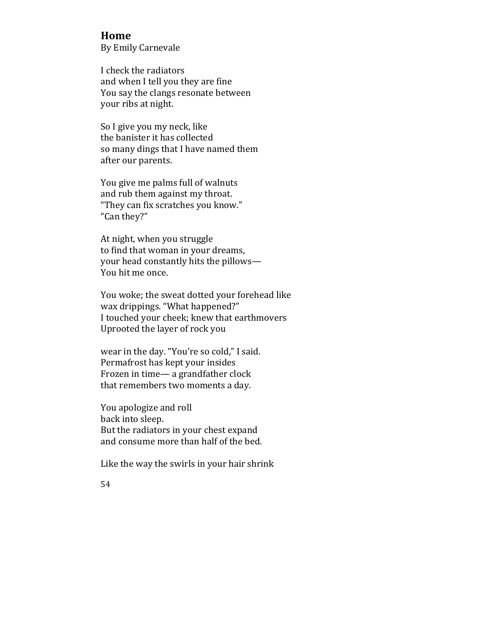## **Home**

By Emily Carnevale

I check the radiators and when I tell you they are fine You say the clangs resonate between your ribs at night.

So I give you my neck, like the banister it has collected so many dings that I have named them after our parents.

You give me palms full of walnuts and rub them against my throat. "They can fix scratches you know." "Can they?"

At night, when you struggle to find that woman in your dreams, your head constantly hits the pillows-You hit me once.

You woke; the sweat dotted your forehead like wax drippings. "What happened?" I touched your cheek; knew that earthmovers Uprooted the layer of rock you

wear in the day. "You're so cold," I said. Permafrost has kept your insides Frozen in time— a grandfather clock that remembers two moments a day.

You apologize and roll back into sleep. But the radiators in your chest expand and consume more than half of the bed.

Like the way the swirls in your hair shrink

54